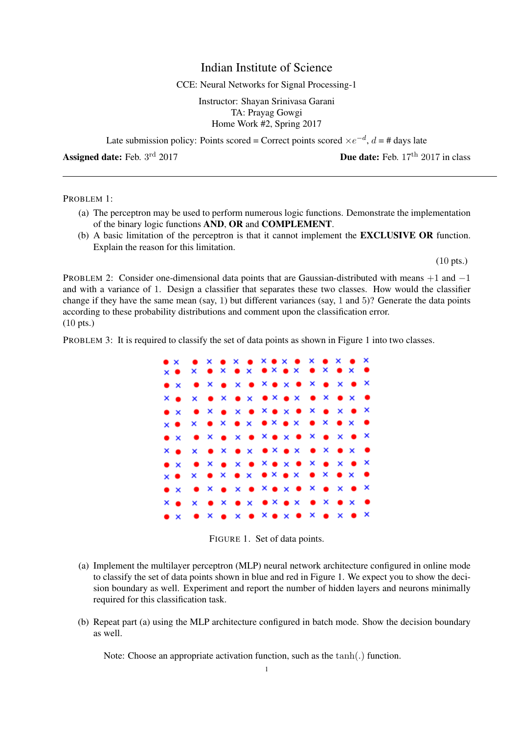## Indian Institute of Science

## CCE: Neural Networks for Signal Processing-1

Instructor: Shayan Srinivasa Garani TA: Prayag Gowgi Home Work #2, Spring 2017

Late submission policy: Points scored = Correct points scored  $\times e^{-d}$ ,  $d = \text{\# days}$  late

Assigned date: Feb.  $3<sup>rd</sup>$  2017

**Due date:** Feb.  $17<sup>th</sup>$  2017 in class

PROBLEM 1:

- (a) The perceptron may be used to perform numerous logic functions. Demonstrate the implementation of the binary logic functions AND, OR and COMPLEMENT.
- (b) A basic limitation of the perceptron is that it cannot implement the EXCLUSIVE OR function. Explain the reason for this limitation.

(10 pts.)

PROBLEM 2: Consider one-dimensional data points that are Gaussian-distributed with means +1 and −1 and with a variance of 1. Design a classifier that separates these two classes. How would the classifier change if they have the same mean (say, 1) but different variances (say, 1 and 5)? Generate the data points according to these probability distributions and comment upon the classification error. (10 pts.)

PROBLEM 3: It is required to classify the set of data points as shown in Figure 1 into two classes.



FIGURE 1. Set of data points.

- (a) Implement the multilayer perceptron (MLP) neural network architecture configured in online mode to classify the set of data points shown in blue and red in Figure 1. We expect you to show the decision boundary as well. Experiment and report the number of hidden layers and neurons minimally required for this classification task.
- (b) Repeat part (a) using the MLP architecture configured in batch mode. Show the decision boundary as well.

Note: Choose an appropriate activation function, such as the tanh(.) function.